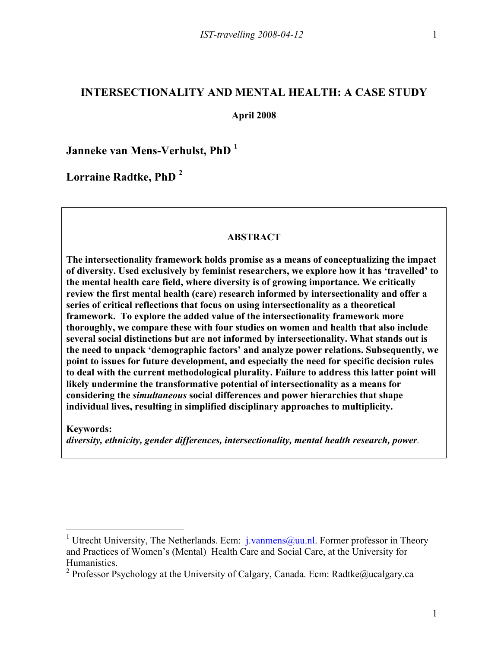# **INTERSECTIONALITY AND MENTAL HEALTH: A CASE STUDY**

**April 2008**

**Janneke van Mens-Verhulst, PhD <sup>1</sup>**

**Lorraine Radtke, PhD 2**

## **ABSTRACT**

**The intersectionality framework holds promise as a means of conceptualizing the impact of diversity. Used exclusively by feminist researchers, we explore how it has 'travelled' to the mental health care field, where diversity is of growing importance. We critically review the first mental health (care) research informed by intersectionality and offer a series of critical reflections that focus on using intersectionality as a theoretical framework. To explore the added value of the intersectionality framework more thoroughly, we compare these with four studies on women and health that also include several social distinctions but are not informed by intersectionality. What stands out is the need to unpack 'demographic factors' and analyze power relations. Subsequently, we point to issues for future development, and especially the need for specific decision rules to deal with the current methodological plurality. Failure to address this latter point will likely undermine the transformative potential of intersectionality as a means for considering the** *simultaneous* **social differences and power hierarchies that shape individual lives, resulting in simplified disciplinary approaches to multiplicity.** 

**Keywords:** 

*diversity, ethnicity, gender differences, intersectionality, mental health research, power.*

<sup>&</sup>lt;sup>1</sup> Utrecht University, The Netherlands. Ecm:  $i$ . vanmens ( $a$ ) uu.nl. Former professor in Theory and Practices of Women's (Mental) Health Care and Social Care, at the University for Humanistics.

<sup>&</sup>lt;sup>2</sup> Professor Psychology at the University of Calgary, Canada. Ecm: Radtke@ucalgary.ca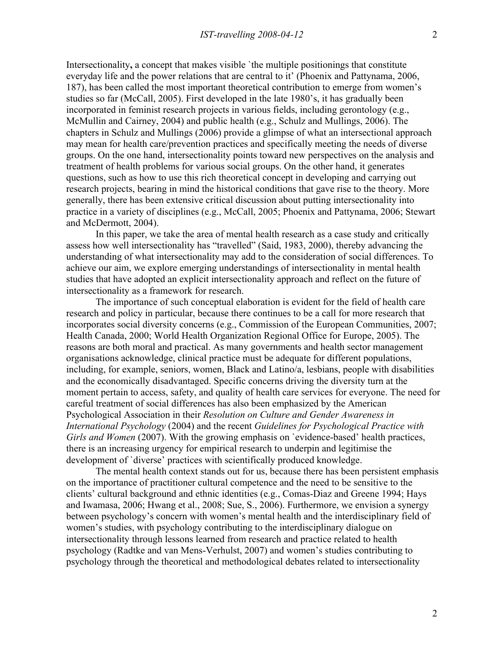Intersectionality, a concept that makes visible 'the multiple positionings that constitute everyday life and the power relations that are central to it' (Phoenix and Pattynama, 2006, 187), has been called the most important theoretical contribution to emerge from women's studies so far (McCall, 2005). First developed in the late 1980's, it has gradually been incorporated in feminist research projects in various fields, including gerontology (e.g., McMullin and Cairney, 2004) and public health (e.g., Schulz and Mullings, 2006). The chapters in Schulz and Mullings (2006) provide a glimpse of what an intersectional approach may mean for health care/prevention practices and specifically meeting the needs of diverse groups. On the one hand, intersectionality points toward new perspectives on the analysis and treatment of health problems for various social groups. On the other hand, it generates questions, such as how to use this rich theoretical concept in developing and carrying out research projects, bearing in mind the historical conditions that gave rise to the theory. More generally, there has been extensive critical discussion about putting intersectionality into practice in a variety of disciplines (e.g., McCall, 2005; Phoenix and Pattynama, 2006; Stewart and McDermott, 2004).

In this paper, we take the area of mental health research as a case study and critically assess how well intersectionality has "travelled" (Said, 1983, 2000), thereby advancing the understanding of what intersectionality may add to the consideration of social differences. To achieve our aim, we explore emerging understandings of intersectionality in mental health studies that have adopted an explicit intersectionality approach and reflect on the future of intersectionality as a framework for research.

The importance of such conceptual elaboration is evident for the field of health care research and policy in particular, because there continues to be a call for more research that incorporates social diversity concerns (e.g., Commission of the European Communities, 2007; Health Canada, 2000; World Health Organization Regional Office for Europe, 2005). The reasons are both moral and practical. As many governments and health sector management organisations acknowledge, clinical practice must be adequate for different populations, including, for example, seniors, women, Black and Latino/a, lesbians, people with disabilities and the economically disadvantaged. Specific concerns driving the diversity turn at the moment pertain to access, safety, and quality of health care services for everyone. The need for careful treatment of social differences has also been emphasized by the American Psychological Association in their *Resolution on Culture and Gender Awareness in International Psychology* (2004) and the recent *Guidelines for Psychological Practice with Girls and Women* (2007). With the growing emphasis on 'evidence-based' health practices, there is an increasing urgency for empirical research to underpin and legitimise the development of `diverse' practices with scientifically produced knowledge.

The mental health context stands out for us, because there has been persistent emphasis on the importance of practitioner cultural competence and the need to be sensitive to the clients' cultural background and ethnic identities (e.g., Comas-Diaz and Greene 1994; Hays and Iwamasa, 2006; Hwang et al., 2008; Sue, S., 2006). Furthermore, we envision a synergy between psychology's concern with women's mental health and the interdisciplinary field of women's studies, with psychology contributing to the interdisciplinary dialogue on intersectionality through lessons learned from research and practice related to health psychology (Radtke and van Mens-Verhulst, 2007) and women's studies contributing to psychology through the theoretical and methodological debates related to intersectionality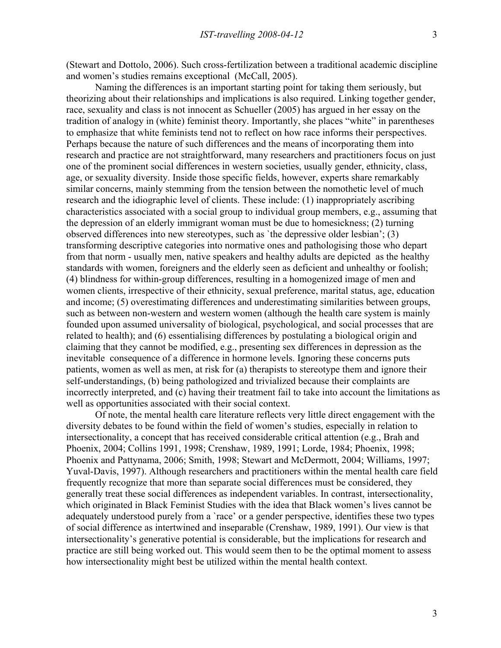(Stewart and Dottolo, 2006). Such cross-fertilization between a traditional academic discipline and women's studies remains exceptional (McCall, 2005).

Naming the differences is an important starting point for taking them seriously, but theorizing about their relationships and implications is also required. Linking together gender, race, sexuality and class is not innocent as Schueller (2005) has argued in her essay on the tradition of analogy in (white) feminist theory. Importantly, she places "white" in parentheses to emphasize that white feminists tend not to reflect on how race informs their perspectives. Perhaps because the nature of such differences and the means of incorporating them into research and practice are not straightforward, many researchers and practitioners focus on just one of the prominent social differences in western societies, usually gender, ethnicity, class, age, or sexuality diversity. Inside those specific fields, however, experts share remarkably similar concerns, mainly stemming from the tension between the nomothetic level of much research and the idiographic level of clients. These include: (1) inappropriately ascribing characteristics associated with a social group to individual group members, e.g., assuming that the depression of an elderly immigrant woman must be due to homesickness; (2) turning observed differences into new stereotypes, such as `the depressive older lesbian'; (3) transforming descriptive categories into normative ones and pathologising those who depart from that norm - usually men, native speakers and healthy adults are depicted as the healthy standards with women, foreigners and the elderly seen as deficient and unhealthy or foolish; (4) blindness for within-group differences, resulting in a homogenized image of men and women clients, irrespective of their ethnicity, sexual preference, marital status, age, education and income; (5) overestimating differences and underestimating similarities between groups, such as between non-western and western women (although the health care system is mainly founded upon assumed universality of biological, psychological, and social processes that are related to health); and (6) essentialising differences by postulating a biological origin and claiming that they cannot be modified, e.g., presenting sex differences in depression as the inevitable consequence of a difference in hormone levels. Ignoring these concerns puts patients, women as well as men, at risk for (a) therapists to stereotype them and ignore their self-understandings, (b) being pathologized and trivialized because their complaints are incorrectly interpreted, and (c) having their treatment fail to take into account the limitations as well as opportunities associated with their social context.

Of note, the mental health care literature reflects very little direct engagement with the diversity debates to be found within the field of women's studies, especially in relation to intersectionality, a concept that has received considerable critical attention (e.g., Brah and Phoenix, 2004; Collins 1991, 1998; Crenshaw, 1989, 1991; Lorde, 1984; Phoenix, 1998; Phoenix and Pattynama, 2006; Smith, 1998; Stewart and McDermott, 2004; Williams, 1997; Yuval-Davis, 1997). Although researchers and practitioners within the mental health care field frequently recognize that more than separate social differences must be considered, they generally treat these social differences as independent variables. In contrast, intersectionality, which originated in Black Feminist Studies with the idea that Black women's lives cannot be adequately understood purely from a `race' or a gender perspective, identifies these two types of social difference as intertwined and inseparable (Crenshaw, 1989, 1991). Our view is that intersectionality's generative potential is considerable, but the implications for research and practice are still being worked out. This would seem then to be the optimal moment to assess how intersectionality might best be utilized within the mental health context.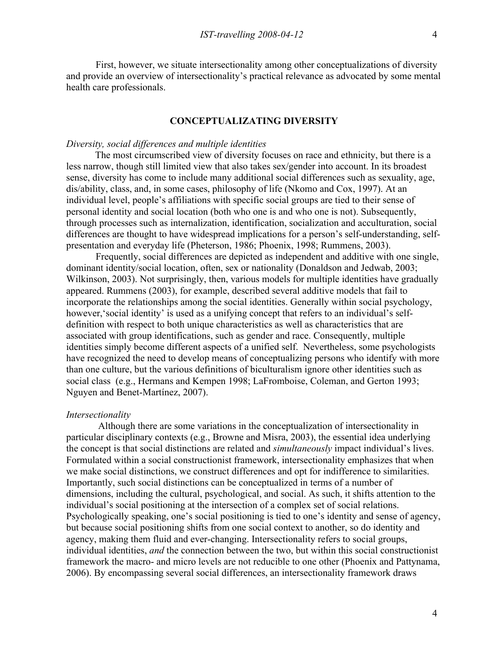First, however, we situate intersectionality among other conceptualizations of diversity and provide an overview of intersectionality's practical relevance as advocated by some mental health care professionals.

# **CONCEPTUALIZATING DIVERSITY**

# *Diversity, social differences and multiple identities*

The most circumscribed view of diversity focuses on race and ethnicity, but there is a less narrow, though still limited view that also takes sex/gender into account. In its broadest sense, diversity has come to include many additional social differences such as sexuality, age, dis/ability, class, and, in some cases, philosophy of life (Nkomo and Cox, 1997). At an individual level, people's affiliations with specific social groups are tied to their sense of personal identity and social location (both who one is and who one is not). Subsequently, through processes such as internalization, identification, socialization and acculturation, social differences are thought to have widespread implications for a person's self-understanding, selfpresentation and everyday life (Pheterson, 1986; Phoenix, 1998; Rummens, 2003).

Frequently, social differences are depicted as independent and additive with one single, dominant identity/social location, often, sex or nationality (Donaldson and Jedwab, 2003; Wilkinson, 2003). Not surprisingly, then, various models for multiple identities have gradually appeared. Rummens (2003), for example, described several additive models that fail to incorporate the relationships among the social identities. Generally within social psychology, however,'social identity' is used as a unifying concept that refers to an individual's selfdefinition with respect to both unique characteristics as well as characteristics that are associated with group identifications, such as gender and race. Consequently, multiple identities simply become different aspects of a unified self. Nevertheless, some psychologists have recognized the need to develop means of conceptualizing persons who identify with more than one culture, but the various definitions of biculturalism ignore other identities such as social class (e.g., Hermans and Kempen 1998; LaFromboise, Coleman, and Gerton 1993; Nguyen and Benet-Martínez, 2007).

#### *Intersectionality*

 Although there are some variations in the conceptualization of intersectionality in particular disciplinary contexts (e.g., Browne and Misra, 2003), the essential idea underlying the concept is that social distinctions are related and *simultaneously* impact individual's lives. Formulated within a social constructionist framework, intersectionality emphasizes that when we make social distinctions, we construct differences and opt for indifference to similarities. Importantly, such social distinctions can be conceptualized in terms of a number of dimensions, including the cultural, psychological, and social. As such, it shifts attention to the individual's social positioning at the intersection of a complex set of social relations. Psychologically speaking, one's social positioning is tied to one's identity and sense of agency, but because social positioning shifts from one social context to another, so do identity and agency, making them fluid and ever-changing. Intersectionality refers to social groups, individual identities, *and* the connection between the two, but within this social constructionist framework the macro- and micro levels are not reducible to one other (Phoenix and Pattynama, 2006). By encompassing several social differences, an intersectionality framework draws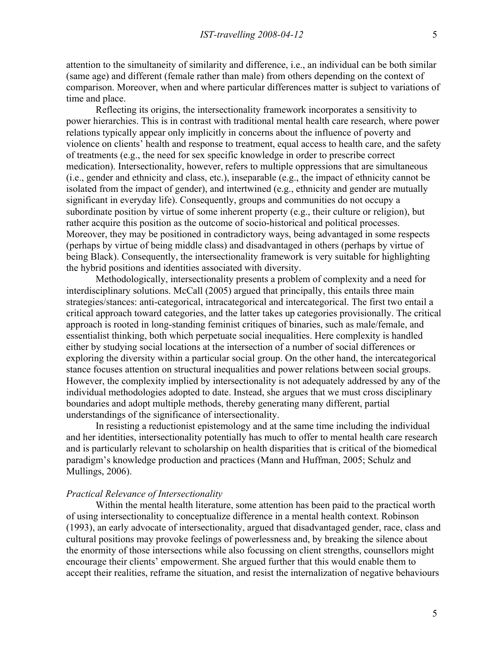attention to the simultaneity of similarity and difference, i.e., an individual can be both similar (same age) and different (female rather than male) from others depending on the context of comparison. Moreover, when and where particular differences matter is subject to variations of time and place.

Reflecting its origins, the intersectionality framework incorporates a sensitivity to power hierarchies. This is in contrast with traditional mental health care research, where power relations typically appear only implicitly in concerns about the influence of poverty and violence on clients' health and response to treatment, equal access to health care, and the safety of treatments (e.g., the need for sex specific knowledge in order to prescribe correct medication). Intersectionality, however, refers to multiple oppressions that are simultaneous (i.e., gender and ethnicity and class, etc.), inseparable (e.g., the impact of ethnicity cannot be isolated from the impact of gender), and intertwined (e.g., ethnicity and gender are mutually significant in everyday life). Consequently, groups and communities do not occupy a subordinate position by virtue of some inherent property (e.g., their culture or religion), but rather acquire this position as the outcome of socio-historical and political processes. Moreover, they may be positioned in contradictory ways, being advantaged in some respects (perhaps by virtue of being middle class) and disadvantaged in others (perhaps by virtue of being Black). Consequently, the intersectionality framework is very suitable for highlighting the hybrid positions and identities associated with diversity.

Methodologically, intersectionality presents a problem of complexity and a need for interdisciplinary solutions. McCall (2005) argued that principally, this entails three main strategies/stances: anti-categorical, intracategorical and intercategorical. The first two entail a critical approach toward categories, and the latter takes up categories provisionally. The critical approach is rooted in long-standing feminist critiques of binaries, such as male/female, and essentialist thinking, both which perpetuate social inequalities. Here complexity is handled either by studying social locations at the intersection of a number of social differences or exploring the diversity within a particular social group. On the other hand, the intercategorical stance focuses attention on structural inequalities and power relations between social groups. However, the complexity implied by intersectionality is not adequately addressed by any of the individual methodologies adopted to date. Instead, she argues that we must cross disciplinary boundaries and adopt multiple methods, thereby generating many different, partial understandings of the significance of intersectionality.

In resisting a reductionist epistemology and at the same time including the individual and her identities, intersectionality potentially has much to offer to mental health care research and is particularly relevant to scholarship on health disparities that is critical of the biomedical paradigm's knowledge production and practices (Mann and Huffman, 2005; Schulz and Mullings, 2006).

# *Practical Relevance of Intersectionality*

Within the mental health literature, some attention has been paid to the practical worth of using intersectionality to conceptualize difference in a mental health context. Robinson (1993), an early advocate of intersectionality, argued that disadvantaged gender, race, class and cultural positions may provoke feelings of powerlessness and, by breaking the silence about the enormity of those intersections while also focussing on client strengths, counsellors might encourage their clients' empowerment. She argued further that this would enable them to accept their realities, reframe the situation, and resist the internalization of negative behaviours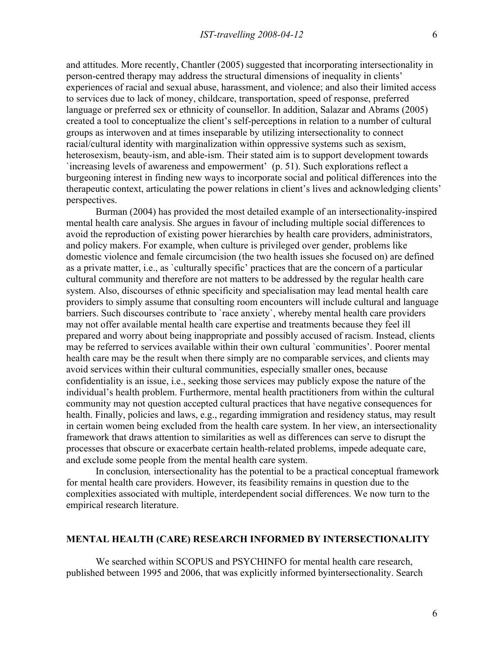and attitudes. More recently, Chantler (2005) suggested that incorporating intersectionality in person-centred therapy may address the structural dimensions of inequality in clients' experiences of racial and sexual abuse, harassment, and violence; and also their limited access to services due to lack of money, childcare, transportation, speed of response, preferred language or preferred sex or ethnicity of counsellor. In addition, Salazar and Abrams (2005) created a tool to conceptualize the client's self-perceptions in relation to a number of cultural groups as interwoven and at times inseparable by utilizing intersectionality to connect racial/cultural identity with marginalization within oppressive systems such as sexism, heterosexism, beauty-ism, and able-ism. Their stated aim is to support development towards `increasing levels of awareness and empowerment' (p. 51). Such explorations reflect a burgeoning interest in finding new ways to incorporate social and political differences into the therapeutic context, articulating the power relations in client's lives and acknowledging clients' perspectives.

Burman (2004) has provided the most detailed example of an intersectionality-inspired mental health care analysis. She argues in favour of including multiple social differences to avoid the reproduction of existing power hierarchies by health care providers, administrators, and policy makers. For example, when culture is privileged over gender, problems like domestic violence and female circumcision (the two health issues she focused on) are defined as a private matter, i.e., as `culturally specific' practices that are the concern of a particular cultural community and therefore are not matters to be addressed by the regular health care system. Also, discourses of ethnic specificity and specialisation may lead mental health care providers to simply assume that consulting room encounters will include cultural and language barriers. Such discourses contribute to 'race anxiety', whereby mental health care providers may not offer available mental health care expertise and treatments because they feel ill prepared and worry about being inappropriate and possibly accused of racism. Instead, clients may be referred to services available within their own cultural `communities'. Poorer mental health care may be the result when there simply are no comparable services, and clients may avoid services within their cultural communities, especially smaller ones, because confidentiality is an issue, i.e., seeking those services may publicly expose the nature of the individual's health problem. Furthermore, mental health practitioners from within the cultural community may not question accepted cultural practices that have negative consequences for health. Finally, policies and laws, e.g., regarding immigration and residency status, may result in certain women being excluded from the health care system. In her view, an intersectionality framework that draws attention to similarities as well as differences can serve to disrupt the processes that obscure or exacerbate certain health-related problems, impede adequate care, and exclude some people from the mental health care system.

In conclusion*,* intersectionality has the potential to be a practical conceptual framework for mental health care providers. However, its feasibility remains in question due to the complexities associated with multiple, interdependent social differences. We now turn to the empirical research literature.

## **MENTAL HEALTH (CARE) RESEARCH INFORMED BY INTERSECTIONALITY**

We searched within SCOPUS and PSYCHINFO for mental health care research, published between 1995 and 2006, that was explicitly informed byintersectionality. Search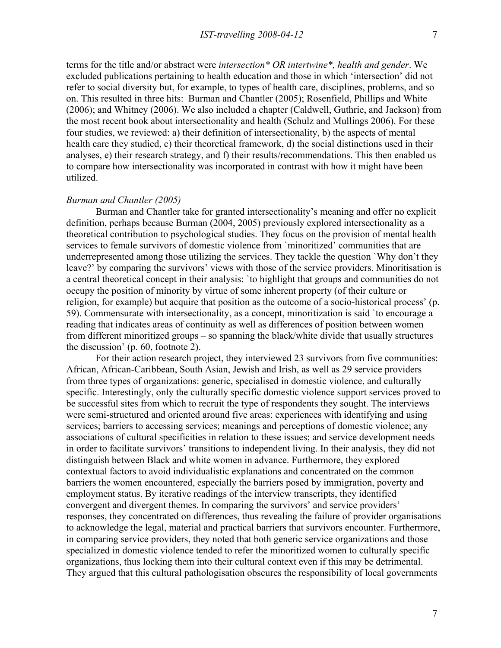terms for the title and/or abstract were *intersection\* OR intertwine\*, health and gender*. We excluded publications pertaining to health education and those in which 'intersection' did not refer to social diversity but, for example, to types of health care, disciplines, problems, and so on. This resulted in three hits: Burman and Chantler (2005); Rosenfield, Phillips and White (2006); and Whitney (2006). We also included a chapter (Caldwell, Guthrie, and Jackson) from the most recent book about intersectionality and health (Schulz and Mullings 2006). For these four studies, we reviewed: a) their definition of intersectionality, b) the aspects of mental health care they studied, c) their theoretical framework, d) the social distinctions used in their analyses, e) their research strategy, and f) their results/recommendations. This then enabled us to compare how intersectionality was incorporated in contrast with how it might have been utilized.

### *Burman and Chantler (2005)*

Burman and Chantler take for granted intersectionality's meaning and offer no explicit definition, perhaps because Burman (2004, 2005) previously explored intersectionality as a theoretical contribution to psychological studies. They focus on the provision of mental health services to female survivors of domestic violence from `minoritized' communities that are underrepresented among those utilizing the services. They tackle the question `Why don't they leave?' by comparing the survivors' views with those of the service providers. Minoritisation is a central theoretical concept in their analysis: `to highlight that groups and communities do not occupy the position of minority by virtue of some inherent property (of their culture or religion, for example) but acquire that position as the outcome of a socio-historical process' (p. 59). Commensurate with intersectionality, as a concept, minoritization is said `to encourage a reading that indicates areas of continuity as well as differences of position between women from different minoritized groups – so spanning the black/white divide that usually structures the discussion' (p. 60, footnote 2).

For their action research project, they interviewed 23 survivors from five communities: African, African-Caribbean, South Asian, Jewish and Irish, as well as 29 service providers from three types of organizations: generic, specialised in domestic violence, and culturally specific. Interestingly, only the culturally specific domestic violence support services proved to be successful sites from which to recruit the type of respondents they sought. The interviews were semi-structured and oriented around five areas: experiences with identifying and using services; barriers to accessing services; meanings and perceptions of domestic violence; any associations of cultural specificities in relation to these issues; and service development needs in order to facilitate survivors' transitions to independent living. In their analysis, they did not distinguish between Black and white women in advance. Furthermore, they explored contextual factors to avoid individualistic explanations and concentrated on the common barriers the women encountered, especially the barriers posed by immigration, poverty and employment status. By iterative readings of the interview transcripts, they identified convergent and divergent themes. In comparing the survivors' and service providers' responses, they concentrated on differences, thus revealing the failure of provider organisations to acknowledge the legal, material and practical barriers that survivors encounter. Furthermore, in comparing service providers, they noted that both generic service organizations and those specialized in domestic violence tended to refer the minoritized women to culturally specific organizations, thus locking them into their cultural context even if this may be detrimental. They argued that this cultural pathologisation obscures the responsibility of local governments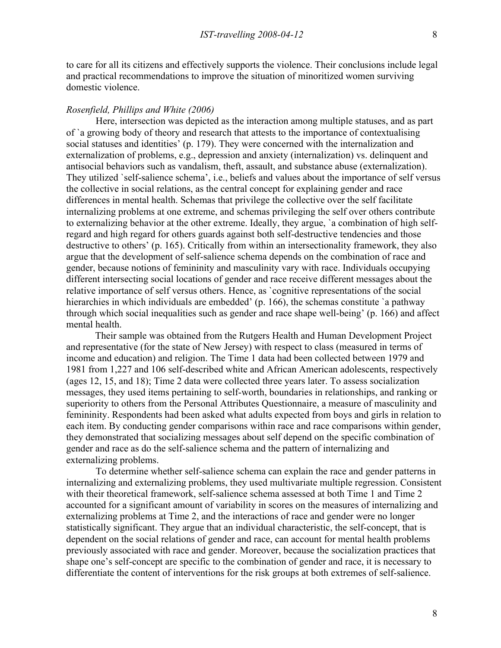to care for all its citizens and effectively supports the violence. Their conclusions include legal and practical recommendations to improve the situation of minoritized women surviving domestic violence.

## *Rosenfield, Phillips and White (2006)*

Here, intersection was depicted as the interaction among multiple statuses, and as part of `a growing body of theory and research that attests to the importance of contextualising social statuses and identities' (p. 179). They were concerned with the internalization and externalization of problems, e.g., depression and anxiety (internalization) vs. delinquent and antisocial behaviors such as vandalism, theft, assault, and substance abuse (externalization). They utilized `self-salience schema', i.e., beliefs and values about the importance of self versus the collective in social relations, as the central concept for explaining gender and race differences in mental health. Schemas that privilege the collective over the self facilitate internalizing problems at one extreme, and schemas privileging the self over others contribute to externalizing behavior at the other extreme. Ideally, they argue, `a combination of high selfregard and high regard for others guards against both self-destructive tendencies and those destructive to others' (p. 165). Critically from within an intersectionality framework, they also argue that the development of self-salience schema depends on the combination of race and gender, because notions of femininity and masculinity vary with race. Individuals occupying different intersecting social locations of gender and race receive different messages about the relative importance of self versus others. Hence, as `cognitive representations of the social hierarchies in which individuals are embedded' (p. 166), the schemas constitute 'a pathway through which social inequalities such as gender and race shape well-being' (p. 166) and affect mental health.

Their sample was obtained from the Rutgers Health and Human Development Project and representative (for the state of New Jersey) with respect to class (measured in terms of income and education) and religion. The Time 1 data had been collected between 1979 and 1981 from 1,227 and 106 self-described white and African American adolescents, respectively (ages 12, 15, and 18); Time 2 data were collected three years later. To assess socialization messages, they used items pertaining to self-worth, boundaries in relationships, and ranking or superiority to others from the Personal Attributes Questionnaire, a measure of masculinity and femininity. Respondents had been asked what adults expected from boys and girls in relation to each item. By conducting gender comparisons within race and race comparisons within gender, they demonstrated that socializing messages about self depend on the specific combination of gender and race as do the self-salience schema and the pattern of internalizing and externalizing problems.

To determine whether self-salience schema can explain the race and gender patterns in internalizing and externalizing problems, they used multivariate multiple regression. Consistent with their theoretical framework, self-salience schema assessed at both Time 1 and Time 2 accounted for a significant amount of variability in scores on the measures of internalizing and externalizing problems at Time 2, and the interactions of race and gender were no longer statistically significant. They argue that an individual characteristic, the self-concept, that is dependent on the social relations of gender and race, can account for mental health problems previously associated with race and gender. Moreover, because the socialization practices that shape one's self-concept are specific to the combination of gender and race, it is necessary to differentiate the content of interventions for the risk groups at both extremes of self-salience.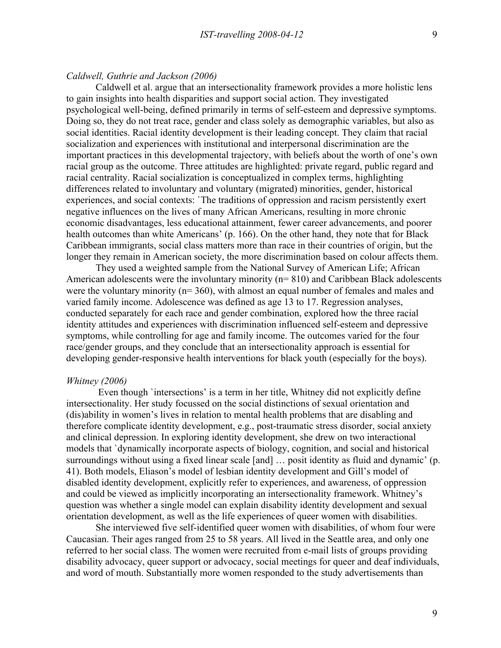## *Caldwell, Guthrie and Jackson (2006)*

Caldwell et al. argue that an intersectionality framework provides a more holistic lens to gain insights into health disparities and support social action. They investigated psychological well-being, defined primarily in terms of self-esteem and depressive symptoms. Doing so, they do not treat race, gender and class solely as demographic variables, but also as social identities. Racial identity development is their leading concept. They claim that racial socialization and experiences with institutional and interpersonal discrimination are the important practices in this developmental trajectory, with beliefs about the worth of one's own racial group as the outcome. Three attitudes are highlighted: private regard, public regard and racial centrality. Racial socialization is conceptualized in complex terms, highlighting differences related to involuntary and voluntary (migrated) minorities, gender, historical experiences, and social contexts: `The traditions of oppression and racism persistently exert negative influences on the lives of many African Americans, resulting in more chronic economic disadvantages, less educational attainment, fewer career advancements, and poorer health outcomes than white Americans' (p. 166). On the other hand, they note that for Black Caribbean immigrants, social class matters more than race in their countries of origin, but the longer they remain in American society, the more discrimination based on colour affects them.

They used a weighted sample from the National Survey of American Life; African American adolescents were the involuntary minority (n= 810) and Caribbean Black adolescents were the voluntary minority (n= 360), with almost an equal number of females and males and varied family income. Adolescence was defined as age 13 to 17. Regression analyses, conducted separately for each race and gender combination, explored how the three racial identity attitudes and experiences with discrimination influenced self-esteem and depressive symptoms, while controlling for age and family income. The outcomes varied for the four race/gender groups, and they conclude that an intersectionality approach is essential for developing gender-responsive health interventions for black youth (especially for the boys).

# *Whitney (2006)*

 Even though `intersections' is a term in her title, Whitney did not explicitly define intersectionality. Her study focussed on the social distinctions of sexual orientation and (dis)ability in women's lives in relation to mental health problems that are disabling and therefore complicate identity development, e.g., post-traumatic stress disorder, social anxiety and clinical depression. In exploring identity development, she drew on two interactional models that `dynamically incorporate aspects of biology, cognition, and social and historical surroundings without using a fixed linear scale [and] … posit identity as fluid and dynamic' (p. 41). Both models, Eliason's model of lesbian identity development and Gill's model of disabled identity development, explicitly refer to experiences, and awareness, of oppression and could be viewed as implicitly incorporating an intersectionality framework. Whitney's question was whether a single model can explain disability identity development and sexual orientation development, as well as the life experiences of queer women with disabilities.

She interviewed five self-identified queer women with disabilities, of whom four were Caucasian. Their ages ranged from 25 to 58 years. All lived in the Seattle area, and only one referred to her social class. The women were recruited from e-mail lists of groups providing disability advocacy, queer support or advocacy, social meetings for queer and deaf individuals, and word of mouth. Substantially more women responded to the study advertisements than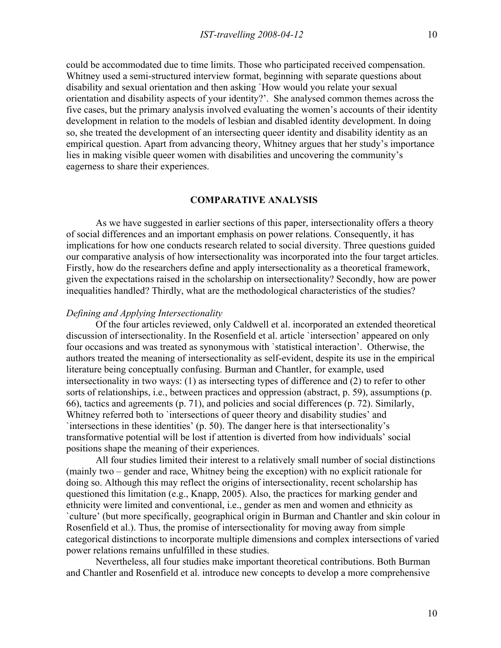could be accommodated due to time limits. Those who participated received compensation. Whitney used a semi-structured interview format, beginning with separate questions about disability and sexual orientation and then asking `How would you relate your sexual orientation and disability aspects of your identity?'. She analysed common themes across the five cases, but the primary analysis involved evaluating the women's accounts of their identity development in relation to the models of lesbian and disabled identity development. In doing so, she treated the development of an intersecting queer identity and disability identity as an empirical question. Apart from advancing theory, Whitney argues that her study's importance

eagerness to share their experiences.

lies in making visible queer women with disabilities and uncovering the community's

# **COMPARATIVE ANALYSIS**

As we have suggested in earlier sections of this paper, intersectionality offers a theory of social differences and an important emphasis on power relations. Consequently, it has implications for how one conducts research related to social diversity. Three questions guided our comparative analysis of how intersectionality was incorporated into the four target articles. Firstly, how do the researchers define and apply intersectionality as a theoretical framework, given the expectations raised in the scholarship on intersectionality? Secondly, how are power inequalities handled? Thirdly, what are the methodological characteristics of the studies?

## *Defining and Applying Intersectionality*

Of the four articles reviewed, only Caldwell et al. incorporated an extended theoretical discussion of intersectionality. In the Rosenfield et al. article `intersection' appeared on only four occasions and was treated as synonymous with `statistical interaction'. Otherwise, the authors treated the meaning of intersectionality as self-evident, despite its use in the empirical literature being conceptually confusing. Burman and Chantler, for example, used intersectionality in two ways: (1) as intersecting types of difference and (2) to refer to other sorts of relationships, i.e., between practices and oppression (abstract, p. 59), assumptions (p. 66), tactics and agreements (p. 71), and policies and social differences (p. 72). Similarly, Whitney referred both to `intersections of queer theory and disability studies' and `intersections in these identities' (p. 50). The danger here is that intersectionality's transformative potential will be lost if attention is diverted from how individuals' social positions shape the meaning of their experiences.

All four studies limited their interest to a relatively small number of social distinctions (mainly two – gender and race, Whitney being the exception) with no explicit rationale for doing so. Although this may reflect the origins of intersectionality, recent scholarship has questioned this limitation (e.g., Knapp, 2005). Also, the practices for marking gender and ethnicity were limited and conventional, i.e., gender as men and women and ethnicity as `culture' (but more specifically, geographical origin in Burman and Chantler and skin colour in Rosenfield et al.). Thus, the promise of intersectionality for moving away from simple categorical distinctions to incorporate multiple dimensions and complex intersections of varied power relations remains unfulfilled in these studies.

Nevertheless, all four studies make important theoretical contributions. Both Burman and Chantler and Rosenfield et al. introduce new concepts to develop a more comprehensive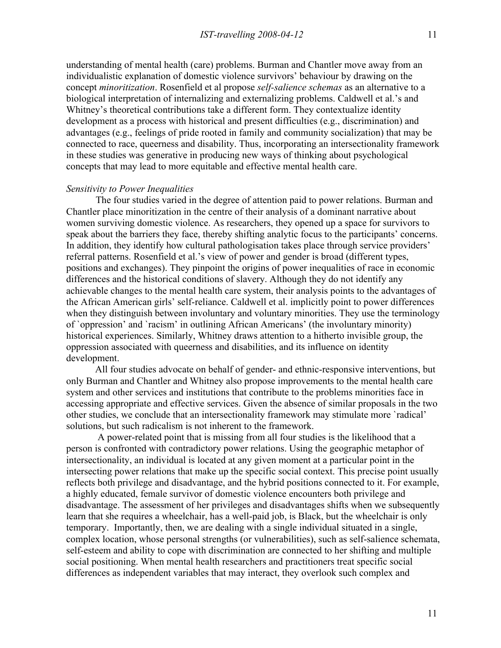understanding of mental health (care) problems. Burman and Chantler move away from an individualistic explanation of domestic violence survivors' behaviour by drawing on the concept *minoritization*. Rosenfield et al propose *self-salience schemas* as an alternative to a biological interpretation of internalizing and externalizing problems. Caldwell et al.'s and Whitney's theoretical contributions take a different form. They contextualize identity development as a process with historical and present difficulties (e.g., discrimination) and advantages (e.g., feelings of pride rooted in family and community socialization) that may be connected to race, queerness and disability. Thus, incorporating an intersectionality framework in these studies was generative in producing new ways of thinking about psychological concepts that may lead to more equitable and effective mental health care.

### *Sensitivity to Power Inequalities*

The four studies varied in the degree of attention paid to power relations. Burman and Chantler place minoritization in the centre of their analysis of a dominant narrative about women surviving domestic violence. As researchers, they opened up a space for survivors to speak about the barriers they face, thereby shifting analytic focus to the participants' concerns. In addition, they identify how cultural pathologisation takes place through service providers' referral patterns. Rosenfield et al.'s view of power and gender is broad (different types, positions and exchanges). They pinpoint the origins of power inequalities of race in economic differences and the historical conditions of slavery. Although they do not identify any achievable changes to the mental health care system, their analysis points to the advantages of the African American girls' self-reliance. Caldwell et al. implicitly point to power differences when they distinguish between involuntary and voluntary minorities. They use the terminology of `oppression' and `racism' in outlining African Americans' (the involuntary minority) historical experiences. Similarly, Whitney draws attention to a hitherto invisible group, the oppression associated with queerness and disabilities, and its influence on identity development.

All four studies advocate on behalf of gender- and ethnic-responsive interventions, but only Burman and Chantler and Whitney also propose improvements to the mental health care system and other services and institutions that contribute to the problems minorities face in accessing appropriate and effective services. Given the absence of similar proposals in the two other studies, we conclude that an intersectionality framework may stimulate more `radical' solutions, but such radicalism is not inherent to the framework.

 A power-related point that is missing from all four studies is the likelihood that a person is confronted with contradictory power relations. Using the geographic metaphor of intersectionality, an individual is located at any given moment at a particular point in the intersecting power relations that make up the specific social context. This precise point usually reflects both privilege and disadvantage, and the hybrid positions connected to it. For example, a highly educated, female survivor of domestic violence encounters both privilege and disadvantage. The assessment of her privileges and disadvantages shifts when we subsequently learn that she requires a wheelchair, has a well-paid job, is Black, but the wheelchair is only temporary. Importantly, then, we are dealing with a single individual situated in a single, complex location, whose personal strengths (or vulnerabilities), such as self-salience schemata, self-esteem and ability to cope with discrimination are connected to her shifting and multiple social positioning. When mental health researchers and practitioners treat specific social differences as independent variables that may interact, they overlook such complex and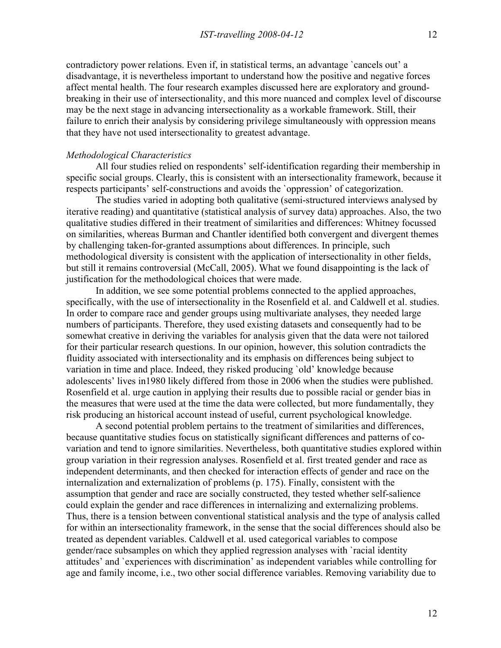contradictory power relations. Even if, in statistical terms, an advantage `cancels out' a disadvantage, it is nevertheless important to understand how the positive and negative forces affect mental health. The four research examples discussed here are exploratory and groundbreaking in their use of intersectionality, and this more nuanced and complex level of discourse may be the next stage in advancing intersectionality as a workable framework. Still, their failure to enrich their analysis by considering privilege simultaneously with oppression means that they have not used intersectionality to greatest advantage.

### *Methodological Characteristics*

All four studies relied on respondents' self-identification regarding their membership in specific social groups. Clearly, this is consistent with an intersectionality framework, because it respects participants' self-constructions and avoids the `oppression' of categorization.

The studies varied in adopting both qualitative (semi-structured interviews analysed by iterative reading) and quantitative (statistical analysis of survey data) approaches. Also, the two qualitative studies differed in their treatment of similarities and differences: Whitney focussed on similarities, whereas Burman and Chantler identified both convergent and divergent themes by challenging taken-for-granted assumptions about differences. In principle, such methodological diversity is consistent with the application of intersectionality in other fields, but still it remains controversial (McCall, 2005). What we found disappointing is the lack of justification for the methodological choices that were made.

In addition, we see some potential problems connected to the applied approaches, specifically, with the use of intersectionality in the Rosenfield et al. and Caldwell et al. studies. In order to compare race and gender groups using multivariate analyses, they needed large numbers of participants. Therefore, they used existing datasets and consequently had to be somewhat creative in deriving the variables for analysis given that the data were not tailored for their particular research questions. In our opinion, however, this solution contradicts the fluidity associated with intersectionality and its emphasis on differences being subject to variation in time and place. Indeed, they risked producing `old' knowledge because adolescents' lives in1980 likely differed from those in 2006 when the studies were published. Rosenfield et al. urge caution in applying their results due to possible racial or gender bias in the measures that were used at the time the data were collected, but more fundamentally, they risk producing an historical account instead of useful, current psychological knowledge.

A second potential problem pertains to the treatment of similarities and differences, because quantitative studies focus on statistically significant differences and patterns of covariation and tend to ignore similarities. Nevertheless, both quantitative studies explored within group variation in their regression analyses. Rosenfield et al. first treated gender and race as independent determinants, and then checked for interaction effects of gender and race on the internalization and externalization of problems (p. 175). Finally, consistent with the assumption that gender and race are socially constructed, they tested whether self-salience could explain the gender and race differences in internalizing and externalizing problems. Thus, there is a tension between conventional statistical analysis and the type of analysis called for within an intersectionality framework, in the sense that the social differences should also be treated as dependent variables. Caldwell et al. used categorical variables to compose gender/race subsamples on which they applied regression analyses with `racial identity attitudes' and `experiences with discrimination' as independent variables while controlling for age and family income, i.e., two other social difference variables. Removing variability due to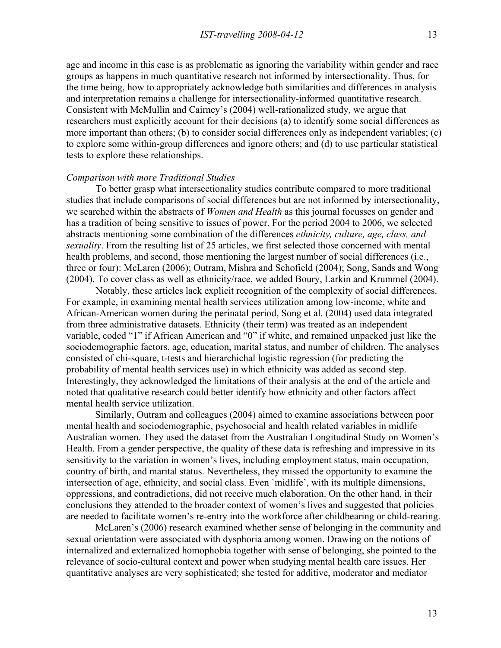age and income in this case is as problematic as ignoring the variability within gender and race groups as happens in much quantitative research not informed by intersectionality. Thus, for the time being, how to appropriately acknowledge both similarities and differences in analysis and interpretation remains a challenge for intersectionality-informed quantitative research. Consistent with McMullin and Cairney's (2004) well-rationalized study, we argue that researchers must explicitly account for their decisions (a) to identify some social differences as more important than others; (b) to consider social differences only as independent variables; (c) to explore some within-group differences and ignore others; and (d) to use particular statistical tests to explore these relationships.

#### *Comparison with more Traditional Studies*

To better grasp what intersectionality studies contribute compared to more traditional studies that include comparisons of social differences but are not informed by intersectionality, we searched within the abstracts of *Women and Health* as this journal focusses on gender and has a tradition of being sensitive to issues of power. For the period 2004 to 2006, we selected abstracts mentioning some combination of the differences *ethnicity, culture, age, class, and sexuality*. From the resulting list of 25 articles, we first selected those concerned with mental health problems, and second, those mentioning the largest number of social differences (i.e., three or four): McLaren (2006); Outram, Mishra and Schofield (2004); Song, Sands and Wong (2004). To cover class as well as ethnicity/race, we added Boury, Larkin and Krummel (2004).

Notably, these articles lack explicit recognition of the complexity of social differences. For example, in examining mental health services utilization among low-income, white and African-American women during the perinatal period, Song et al. (2004) used data integrated from three administrative datasets. Ethnicity (their term) was treated as an independent variable, coded "1" if African American and "0" if white, and remained unpacked just like the sociodemographic factors, age, education, marital status, and number of children. The analyses consisted of chi-square, t-tests and hierarchichal logistic regression (for predicting the probability of mental health services use) in which ethnicity was added as second step. Interestingly, they acknowledged the limitations of their analysis at the end of the article and noted that qualitative research could better identify how ethnicity and other factors affect mental health service utilization.

Similarly, Outram and colleagues (2004) aimed to examine associations between poor mental health and sociodemographic, psychosocial and health related variables in midlife Australian women. They used the dataset from the Australian Longitudinal Study on Women's Health. From a gender perspective, the quality of these data is refreshing and impressive in its sensitivity to the variation in women's lives, including employment status, main occupation, country of birth, and marital status. Nevertheless, they missed the opportunity to examine the intersection of age, ethnicity, and social class. Even `midlife', with its multiple dimensions, oppressions, and contradictions, did not receive much elaboration. On the other hand, in their conclusions they attended to the broader context of women's lives and suggested that policies are needed to facilitate women's re-entry into the workforce after childbearing or child-rearing.

McLaren's (2006) research examined whether sense of belonging in the community and sexual orientation were associated with dysphoria among women. Drawing on the notions of internalized and externalized homophobia together with sense of belonging, she pointed to the relevance of socio-cultural context and power when studying mental health care issues. Her quantitative analyses are very sophisticated; she tested for additive, moderator and mediator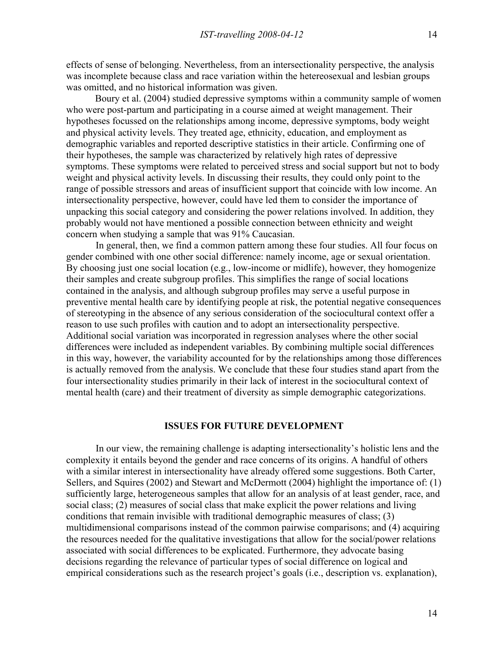effects of sense of belonging. Nevertheless, from an intersectionality perspective, the analysis was incomplete because class and race variation within the hetereosexual and lesbian groups was omitted, and no historical information was given.

Boury et al. (2004) studied depressive symptoms within a community sample of women who were post-partum and participating in a course aimed at weight management. Their hypotheses focussed on the relationships among income, depressive symptoms, body weight and physical activity levels. They treated age, ethnicity, education, and employment as demographic variables and reported descriptive statistics in their article. Confirming one of their hypotheses, the sample was characterized by relatively high rates of depressive symptoms. These symptoms were related to perceived stress and social support but not to body weight and physical activity levels. In discussing their results, they could only point to the range of possible stressors and areas of insufficient support that coincide with low income. An intersectionality perspective, however, could have led them to consider the importance of unpacking this social category and considering the power relations involved. In addition, they probably would not have mentioned a possible connection between ethnicity and weight concern when studying a sample that was 91% Caucasian.

In general, then, we find a common pattern among these four studies. All four focus on gender combined with one other social difference: namely income, age or sexual orientation. By choosing just one social location (e.g., low-income or midlife), however, they homogenize their samples and create subgroup profiles. This simplifies the range of social locations contained in the analysis, and although subgroup profiles may serve a useful purpose in preventive mental health care by identifying people at risk, the potential negative consequences of stereotyping in the absence of any serious consideration of the sociocultural context offer a reason to use such profiles with caution and to adopt an intersectionality perspective. Additional social variation was incorporated in regression analyses where the other social differences were included as independent variables. By combining multiple social differences in this way, however, the variability accounted for by the relationships among those differences is actually removed from the analysis. We conclude that these four studies stand apart from the four intersectionality studies primarily in their lack of interest in the sociocultural context of mental health (care) and their treatment of diversity as simple demographic categorizations.

## **ISSUES FOR FUTURE DEVELOPMENT**

In our view, the remaining challenge is adapting intersectionality's holistic lens and the complexity it entails beyond the gender and race concerns of its origins. A handful of others with a similar interest in intersectionality have already offered some suggestions. Both Carter, Sellers, and Squires (2002) and Stewart and McDermott (2004) highlight the importance of: (1) sufficiently large, heterogeneous samples that allow for an analysis of at least gender, race, and social class; (2) measures of social class that make explicit the power relations and living conditions that remain invisible with traditional demographic measures of class; (3) multidimensional comparisons instead of the common pairwise comparisons; and (4) acquiring the resources needed for the qualitative investigations that allow for the social/power relations associated with social differences to be explicated. Furthermore, they advocate basing decisions regarding the relevance of particular types of social difference on logical and empirical considerations such as the research project's goals (i.e., description vs. explanation),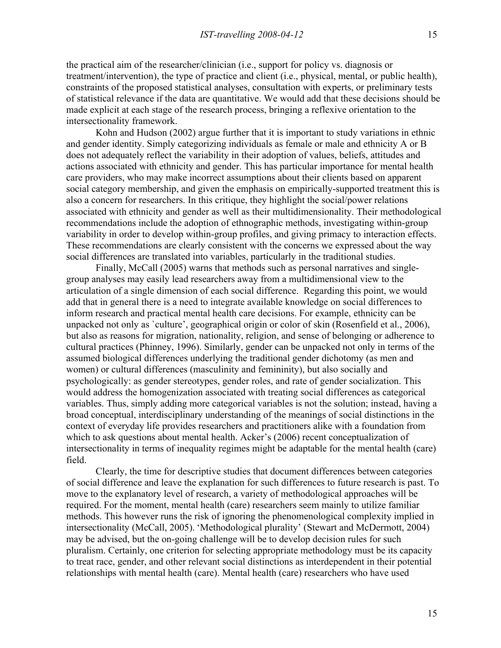the practical aim of the researcher/clinician (i.e., support for policy vs. diagnosis or treatment/intervention), the type of practice and client (i.e., physical, mental, or public health), constraints of the proposed statistical analyses, consultation with experts, or preliminary tests of statistical relevance if the data are quantitative. We would add that these decisions should be made explicit at each stage of the research process, bringing a reflexive orientation to the intersectionality framework.

Kohn and Hudson (2002) argue further that it is important to study variations in ethnic and gender identity. Simply categorizing individuals as female or male and ethnicity A or B does not adequately reflect the variability in their adoption of values, beliefs, attitudes and actions associated with ethnicity and gender. This has particular importance for mental health care providers, who may make incorrect assumptions about their clients based on apparent social category membership, and given the emphasis on empirically-supported treatment this is also a concern for researchers. In this critique, they highlight the social/power relations associated with ethnicity and gender as well as their multidimensionality. Their methodological recommendations include the adoption of ethnographic methods, investigating within-group variability in order to develop within-group profiles, and giving primacy to interaction effects. These recommendations are clearly consistent with the concerns we expressed about the way social differences are translated into variables, particularly in the traditional studies.

Finally, McCall (2005) warns that methods such as personal narratives and singlegroup analyses may easily lead researchers away from a multidimensional view to the articulation of a single dimension of each social difference. Regarding this point, we would add that in general there is a need to integrate available knowledge on social differences to inform research and practical mental health care decisions. For example, ethnicity can be unpacked not only as `culture', geographical origin or color of skin (Rosenfield et al., 2006), but also as reasons for migration, nationality, religion, and sense of belonging or adherence to cultural practices (Phinney, 1996). Similarly, gender can be unpacked not only in terms of the assumed biological differences underlying the traditional gender dichotomy (as men and women) or cultural differences (masculinity and femininity), but also socially and psychologically: as gender stereotypes, gender roles, and rate of gender socialization. This would address the homogenization associated with treating social differences as categorical variables. Thus, simply adding more categorical variables is not the solution; instead, having a broad conceptual, interdisciplinary understanding of the meanings of social distinctions in the context of everyday life provides researchers and practitioners alike with a foundation from which to ask questions about mental health. Acker's (2006) recent conceptualization of intersectionality in terms of inequality regimes might be adaptable for the mental health (care) field.

Clearly, the time for descriptive studies that document differences between categories of social difference and leave the explanation for such differences to future research is past. To move to the explanatory level of research, a variety of methodological approaches will be required. For the moment, mental health (care) researchers seem mainly to utilize familiar methods. This however runs the risk of ignoring the phenomenological complexity implied in intersectionality (McCall, 2005). 'Methodological plurality' (Stewart and McDermott, 2004) may be advised, but the on-going challenge will be to develop decision rules for such pluralism. Certainly, one criterion for selecting appropriate methodology must be its capacity to treat race, gender, and other relevant social distinctions as interdependent in their potential relationships with mental health (care). Mental health (care) researchers who have used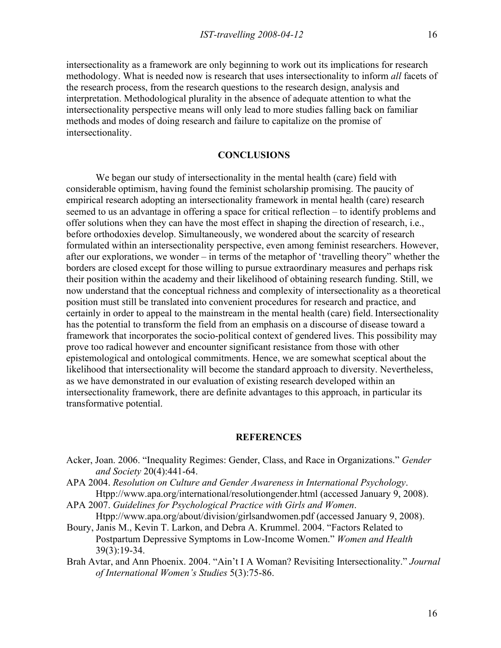intersectionality as a framework are only beginning to work out its implications for research methodology. What is needed now is research that uses intersectionality to inform *all* facets of the research process, from the research questions to the research design, analysis and interpretation. Methodological plurality in the absence of adequate attention to what the intersectionality perspective means will only lead to more studies falling back on familiar methods and modes of doing research and failure to capitalize on the promise of intersectionality.

# **CONCLUSIONS**

We began our study of intersectionality in the mental health (care) field with considerable optimism, having found the feminist scholarship promising. The paucity of empirical research adopting an intersectionality framework in mental health (care) research seemed to us an advantage in offering a space for critical reflection – to identify problems and offer solutions when they can have the most effect in shaping the direction of research, i.e., before orthodoxies develop. Simultaneously, we wondered about the scarcity of research formulated within an intersectionality perspective, even among feminist researchers. However, after our explorations, we wonder – in terms of the metaphor of 'travelling theory" whether the borders are closed except for those willing to pursue extraordinary measures and perhaps risk their position within the academy and their likelihood of obtaining research funding. Still, we now understand that the conceptual richness and complexity of intersectionality as a theoretical position must still be translated into convenient procedures for research and practice, and certainly in order to appeal to the mainstream in the mental health (care) field. Intersectionality has the potential to transform the field from an emphasis on a discourse of disease toward a framework that incorporates the socio-political context of gendered lives. This possibility may prove too radical however and encounter significant resistance from those with other epistemological and ontological commitments. Hence, we are somewhat sceptical about the likelihood that intersectionality will become the standard approach to diversity. Nevertheless, as we have demonstrated in our evaluation of existing research developed within an intersectionality framework, there are definite advantages to this approach, in particular its transformative potential.

### **REFERENCES**

- Acker, Joan. 2006. "Inequality Regimes: Gender, Class, and Race in Organizations." *Gender and Society* 20(4):441-64.
- APA 2004. *Resolution on Culture and Gender Awareness in International Psychology*. Htpp://www.apa.org/international/resolutiongender.html (accessed January 9, 2008).
- APA 2007. *Guidelines for Psychological Practice with Girls and Women*.
- Htpp://www.apa.org/about/division/girlsandwomen.pdf (accessed January 9, 2008).
- Boury, Janis M., Kevin T. Larkon, and Debra A. Krummel. 2004. "Factors Related to Postpartum Depressive Symptoms in Low-Income Women." *Women and Health*  39(3):19-34.
- Brah Avtar, and Ann Phoenix. 2004. "Ain't I A Woman? Revisiting Intersectionality." *Journal of International Women's Studies* 5(3):75-86.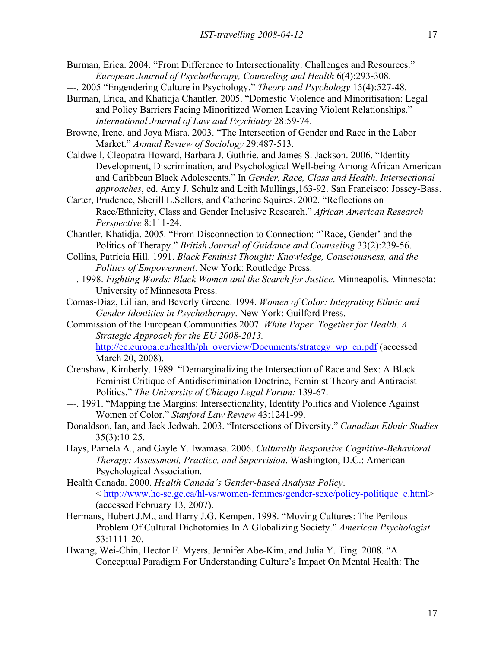- Burman, Erica. 2004. "From Difference to Intersectionality: Challenges and Resources." *European Journal of Psychotherapy, Counseling and Health* 6(4):293-308.
- ---. 2005 "Engendering Culture in Psychology." *Theory and Psychology* 15(4):527-48*.*
- Burman, Erica, and Khatidja Chantler. 2005. "Domestic Violence and Minoritisation: Legal and Policy Barriers Facing Minoritized Women Leaving Violent Relationships." *International Journal of Law and Psychiatry* 28:59-74.
- Browne, Irene, and Joya Misra. 2003. "The Intersection of Gender and Race in the Labor Market." *Annual Review of Sociology* 29:487-513.
- Caldwell, Cleopatra Howard, Barbara J. Guthrie, and James S. Jackson. 2006. "Identity Development, Discrimination, and Psychological Well-being Among African American and Caribbean Black Adolescents." In *Gender, Race, Class and Health. Intersectional approaches*, ed. Amy J. Schulz and Leith Mullings,163-92. San Francisco: Jossey-Bass.
- Carter, Prudence, Sherill L.Sellers, and Catherine Squires. 2002. "Reflections on Race/Ethnicity, Class and Gender Inclusive Research." *African American Research Perspective* 8:111-24.
- Chantler, Khatidja. 2005. "From Disconnection to Connection: "`Race, Gender' and the Politics of Therapy." *British Journal of Guidance and Counseling* 33(2):239-56.
- Collins, Patricia Hill. 1991. *Black Feminist Thought: Knowledge, Consciousness, and the Politics of Empowerment*. New York: Routledge Press.
- ---. 1998. *Fighting Words: Black Women and the Search for Justice*. Minneapolis. Minnesota: University of Minnesota Press.
- Comas-Diaz, Lillian, and Beverly Greene. 1994. *Women of Color: Integrating Ethnic and Gender Identities in Psychotherapy*. New York: Guilford Press.
- Commission of the European Communities 2007. *White Paper. Together for Health. A Strategic Approach for the EU 2008-2013.* http://ec.europa.eu/health/ph\_overview/Documents/strategy\_wp\_en.pdf (accessed March 20, 2008).
- Crenshaw, Kimberly. 1989. "Demarginalizing the Intersection of Race and Sex: A Black Feminist Critique of Antidiscrimination Doctrine, Feminist Theory and Antiracist Politics." *The University of Chicago Legal Forum:* 139-67.
- ---. 1991. "Mapping the Margins: Intersectionality, Identity Politics and Violence Against Women of Color." *Stanford Law Review* 43:1241-99.
- Donaldson, Ian, and Jack Jedwab. 2003. "Intersections of Diversity." *Canadian Ethnic Studies*   $35(3):10-25.$
- Hays, Pamela A., and Gayle Y. Iwamasa. 2006. *Culturally Responsive Cognitive-Behavioral Therapy: Assessment, Practice, and Supervision*. Washington, D.C.: American Psychological Association.
- Health Canada. 2000. *Health Canada's Gender-based Analysis Policy*. < http://www.hc-sc.gc.ca/hl-vs/women-femmes/gender-sexe/policy-politique\_e.html> (accessed February 13, 2007).
- Hermans, Hubert J.M., and Harry J.G. Kempen. 1998. "Moving Cultures: The Perilous Problem Of Cultural Dichotomies In A Globalizing Society." *American Psychologist* 53:1111-20.
- Hwang, Wei-Chin, Hector F. Myers, Jennifer Abe-Kim, and Julia Y. Ting. 2008. "A Conceptual Paradigm For Understanding Culture's Impact On Mental Health: The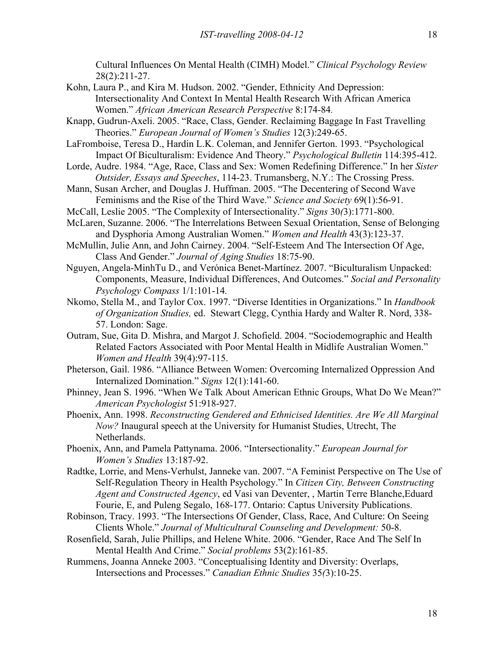Cultural Influences On Mental Health (CIMH) Model." *Clinical Psychology Review* 28(2):211-27.

- Kohn, Laura P., and Kira M. Hudson. 2002. "Gender, Ethnicity And Depression: Intersectionality And Context In Mental Health Research With African America Women." *African American Research Perspective* 8:174-84*.*
- Knapp, Gudrun-Axeli. 2005. "Race, Class, Gender. Reclaiming Baggage In Fast Travelling Theories." *European Journal of Women's Studies* 12(3):249-65.
- LaFromboise, Teresa D., Hardin L.K. Coleman, and Jennifer Gerton. 1993. "Psychological Impact Of Biculturalism: Evidence And Theory." *Psychological Bulletin* 114:395-412.
- Lorde, Audre. 1984. "Age, Race, Class and Sex: Women Redefining Difference." In her *Sister Outsider, Essays and Speeches*, 114-23. Trumansberg, N.Y.: The Crossing Press.
- Mann, Susan Archer, and Douglas J. Huffman. 2005. "The Decentering of Second Wave Feminisms and the Rise of the Third Wave." *Science and Society* 69(1):56-91.
- McCall, Leslie 2005. "The Complexity of Intersectionality." *Signs* 30*(*3):1771-800.
- McLaren, Suzanne. 2006. "The Interrelations Between Sexual Orientation, Sense of Belonging and Dysphoria Among Australian Women." *Women and Health* 43(3):123-37.
- McMullin, Julie Ann, and John Cairney. 2004. "Self-Esteem And The Intersection Of Age, Class And Gender." *Journal of Aging Studies* 18:75-90.
- Nguyen, Angela-MinhTu D., and Verónica Benet-Martínez. 2007. "Biculturalism Unpacked: Components, Measure, Individual Differences, And Outcomes." *Social and Personality Psychology Compass* 1/1:101-14*.*
- Nkomo, Stella M., and Taylor Cox. 1997. "Diverse Identities in Organizations." In *Handbook of Organization Studies,* ed. Stewart Clegg, Cynthia Hardy and Walter R. Nord, 338- 57. London: Sage.
- Outram, Sue, Gita D. Mishra, and Margot J. Schofield. 2004. "Sociodemographic and Health Related Factors Associated with Poor Mental Health in Midlife Australian Women." *Women and Health* 39(4):97-115.
- Pheterson, Gail. 1986. "Alliance Between Women: Overcoming Internalized Oppression And Internalized Domination." *Signs* 12(1):141-60.
- Phinney, Jean S. 1996. "When We Talk About American Ethnic Groups, What Do We Mean?" *American Psychologist* 51:918-927.
- Phoenix, Ann. 1998. *Reconstructing Gendered and Ethnicised Identities. Are We All Marginal Now?* Inaugural speech at the University for Humanist Studies, Utrecht, The Netherlands.
- Phoenix, Ann, and Pamela Pattynama. 2006. "Intersectionality." *European Journal for Women's Studies* 13:187-92.
- Radtke, Lorrie, and Mens-Verhulst, Janneke van. 2007. "A Feminist Perspective on The Use of Self-Regulation Theory in Health Psychology." In *Citizen City, Between Constructing Agent and Constructed Agency*, ed Vasi van Deventer, , Martin Terre Blanche,Eduard Fourie, E, and Puleng Segalo, 168-177. Ontario: Captus University Publications.
- Robinson, Tracy. 1993. "The Intersections Of Gender, Class, Race, And Culture: On Seeing Clients Whole." *Journal of Multicultural Counseling and Development:* 50-8.
- Rosenfield, Sarah, Julie Phillips, and Helene White. 2006. "Gender, Race And The Self In Mental Health And Crime." *Social problems* 53(2):161-85.
- Rummens, Joanna Anneke 2003. "Conceptualising Identity and Diversity: Overlaps, Intersections and Processes." *Canadian Ethnic Studies* 35*(*3):10-25.